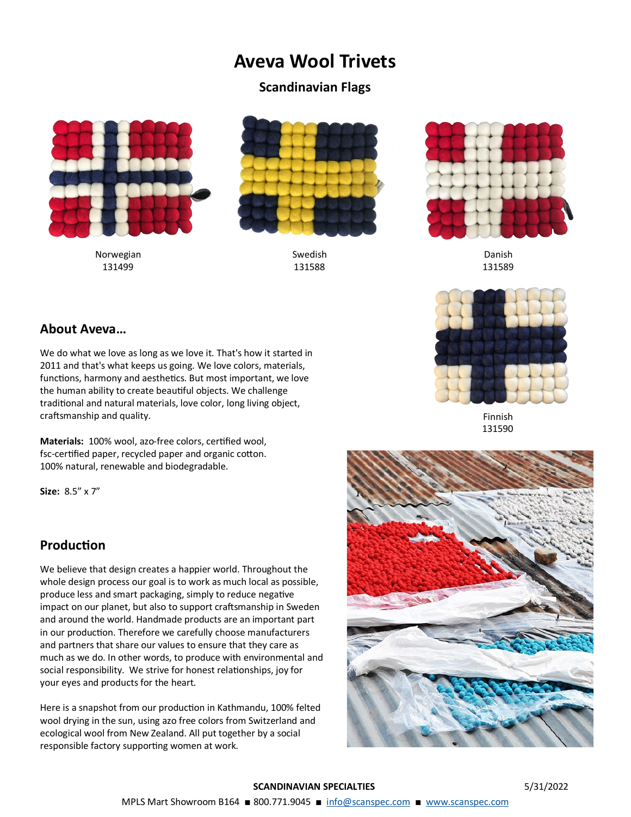# **Aveva Wool Trivets**

#### **Scandinavian Flags**



Norwegian 131499



Swedish 131588



Danish 131589



Finnish 131590

### **About Aveva…**

We do what we love as long as we love it. That's how it started in 2011 and that's what keeps us going. We love colors, materials, functions, harmony and aesthetics. But most important, we love the human ability to create beautiful objects. We challenge traditional and natural materials, love color, long living object, craftsmanship and quality.

**Materials:** 100% wool, azo-free colors, certified wool, fsc-certified paper, recycled paper and organic cotton. 100% natural, renewable and biodegradable.

**Size:** 8.5" x 7"

#### **Production**

We believe that design creates a happier world. Throughout the whole design process our goal is to work as much local as possible, produce less and smart packaging, simply to reduce negative impact on our planet, but also to support craftsmanship in Sweden and around the world. Handmade products are an important part in our production. Therefore we carefully choose manufacturers and partners that share our values to ensure that they care as much as we do. In other words, to produce with environmental and social responsibility. We strive for honest relationships, joy for your eyes and products for the heart.

Here is a snapshot from our production in Kathmandu, 100% felted wool drying in the sun, using azo free colors from Switzerland and ecological wool from New Zealand. All put together by a social responsible factory supporting women at work.